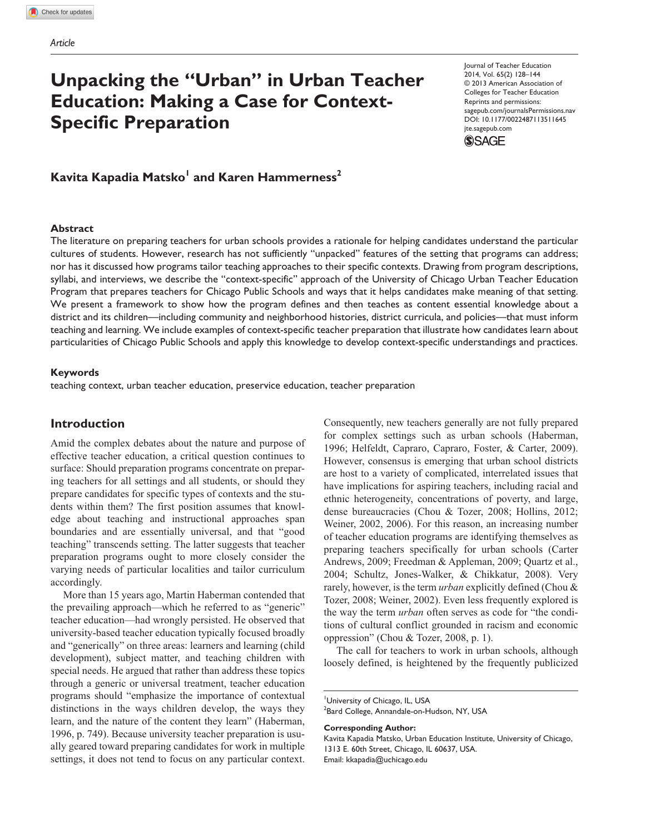# **Unpacking the "Urban" in Urban Teacher Education: Making a Case for Context-Specific Preparation**

Journal of Teacher Education 2014, Vol. 65(2) 128–144 © 2013 American Association of Colleges for Teacher Education Reprints and permissions: sagepub.com/journalsPermissions.nav DOI: 10.1177/0022487113511645 jte.sagepub.com



# $\kappa$ Kavita Kapadia Matsko $^{\text{l}}$  and Karen Hammerness $^{\text{2}}$

#### **Abstract**

The literature on preparing teachers for urban schools provides a rationale for helping candidates understand the particular cultures of students. However, research has not sufficiently "unpacked" features of the setting that programs can address; nor has it discussed how programs tailor teaching approaches to their specific contexts. Drawing from program descriptions, syllabi, and interviews, we describe the "context-specific" approach of the University of Chicago Urban Teacher Education Program that prepares teachers for Chicago Public Schools and ways that it helps candidates make meaning of that setting. We present a framework to show how the program defines and then teaches as content essential knowledge about a district and its children—including community and neighborhood histories, district curricula, and policies—that must inform teaching and learning. We include examples of context-specific teacher preparation that illustrate how candidates learn about particularities of Chicago Public Schools and apply this knowledge to develop context-specific understandings and practices.

#### **Keywords**

teaching context, urban teacher education, preservice education, teacher preparation

# **Introduction**

Amid the complex debates about the nature and purpose of effective teacher education, a critical question continues to surface: Should preparation programs concentrate on preparing teachers for all settings and all students, or should they prepare candidates for specific types of contexts and the students within them? The first position assumes that knowledge about teaching and instructional approaches span boundaries and are essentially universal, and that "good teaching" transcends setting. The latter suggests that teacher preparation programs ought to more closely consider the varying needs of particular localities and tailor curriculum accordingly.

More than 15 years ago, Martin Haberman contended that the prevailing approach—which he referred to as "generic" teacher education—had wrongly persisted. He observed that university-based teacher education typically focused broadly and "generically" on three areas: learners and learning (child development), subject matter, and teaching children with special needs. He argued that rather than address these topics through a generic or universal treatment, teacher education programs should "emphasize the importance of contextual distinctions in the ways children develop, the ways they learn, and the nature of the content they learn" (Haberman, 1996, p. 749). Because university teacher preparation is usually geared toward preparing candidates for work in multiple settings, it does not tend to focus on any particular context.

Consequently, new teachers generally are not fully prepared for complex settings such as urban schools (Haberman, 1996; Helfeldt, Capraro, Capraro, Foster, & Carter, 2009). However, consensus is emerging that urban school districts are host to a variety of complicated, interrelated issues that have implications for aspiring teachers, including racial and ethnic heterogeneity, concentrations of poverty, and large, dense bureaucracies (Chou & Tozer, 2008; Hollins, 2012; Weiner, 2002, 2006). For this reason, an increasing number of teacher education programs are identifying themselves as preparing teachers specifically for urban schools (Carter Andrews, 2009; Freedman & Appleman, 2009; Quartz et al., 2004; Schultz, Jones-Walker, & Chikkatur, 2008). Very rarely, however, is the term *urban* explicitly defined (Chou & Tozer, 2008; Weiner, 2002). Even less frequently explored is the way the term *urban* often serves as code for "the conditions of cultural conflict grounded in racism and economic oppression" (Chou & Tozer, 2008, p. 1).

The call for teachers to work in urban schools, although loosely defined, is heightened by the frequently publicized

**Corresponding Author:**

University of Chicago, IL, USA  $^{2}$ Bard College, Annandale-on-Hudson, NY, USA

Kavita Kapadia Matsko, Urban Education Institute, University of Chicago, 1313 E. 60th Street, Chicago, IL 60637, USA. Email: kkapadia@uchicago.edu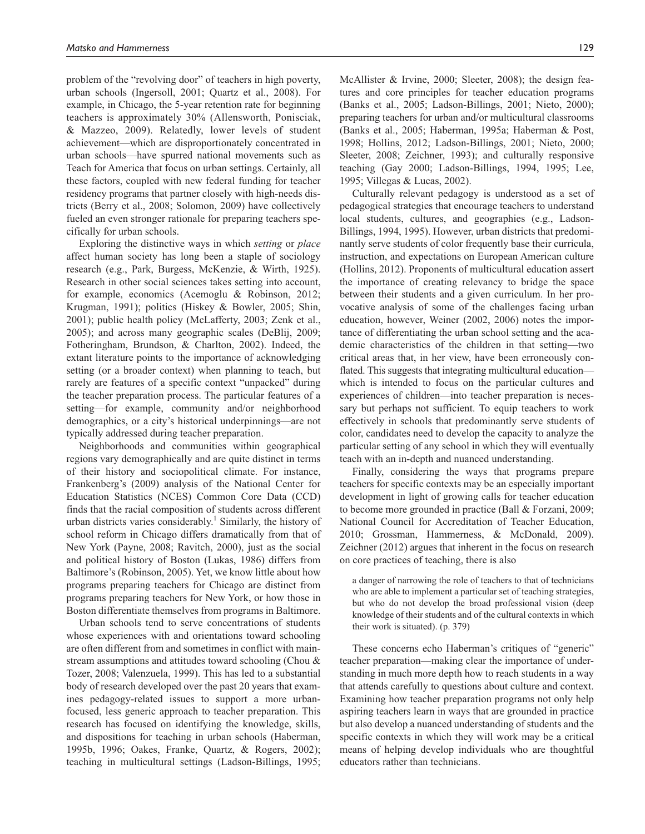problem of the "revolving door" of teachers in high poverty, urban schools (Ingersoll, 2001; Quartz et al., 2008). For example, in Chicago, the 5-year retention rate for beginning teachers is approximately 30% (Allensworth, Ponisciak, & Mazzeo, 2009). Relatedly, lower levels of student achievement—which are disproportionately concentrated in urban schools—have spurred national movements such as Teach for America that focus on urban settings. Certainly, all these factors, coupled with new federal funding for teacher residency programs that partner closely with high-needs districts (Berry et al., 2008; Solomon, 2009) have collectively fueled an even stronger rationale for preparing teachers specifically for urban schools.

Exploring the distinctive ways in which *setting* or *place* affect human society has long been a staple of sociology research (e.g., Park, Burgess, McKenzie, & Wirth, 1925). Research in other social sciences takes setting into account, for example, economics (Acemoglu & Robinson, 2012; Krugman, 1991); politics (Hiskey & Bowler, 2005; Shin, 2001); public health policy (McLafferty, 2003; Zenk et al., 2005); and across many geographic scales (DeBlij, 2009; Fotheringham, Brundson, & Charlton, 2002). Indeed, the extant literature points to the importance of acknowledging setting (or a broader context) when planning to teach, but rarely are features of a specific context "unpacked" during the teacher preparation process. The particular features of a setting—for example, community and/or neighborhood demographics, or a city's historical underpinnings—are not typically addressed during teacher preparation.

Neighborhoods and communities within geographical regions vary demographically and are quite distinct in terms of their history and sociopolitical climate. For instance, Frankenberg's (2009) analysis of the National Center for Education Statistics (NCES) Common Core Data (CCD) finds that the racial composition of students across different urban districts varies considerably.<sup>1</sup> Similarly, the history of school reform in Chicago differs dramatically from that of New York (Payne, 2008; Ravitch, 2000), just as the social and political history of Boston (Lukas, 1986) differs from Baltimore's (Robinson, 2005). Yet, we know little about how programs preparing teachers for Chicago are distinct from programs preparing teachers for New York, or how those in Boston differentiate themselves from programs in Baltimore.

Urban schools tend to serve concentrations of students whose experiences with and orientations toward schooling are often different from and sometimes in conflict with mainstream assumptions and attitudes toward schooling (Chou & Tozer, 2008; Valenzuela, 1999). This has led to a substantial body of research developed over the past 20 years that examines pedagogy-related issues to support a more urbanfocused, less generic approach to teacher preparation. This research has focused on identifying the knowledge, skills, and dispositions for teaching in urban schools (Haberman, 1995b, 1996; Oakes, Franke, Quartz, & Rogers, 2002); teaching in multicultural settings (Ladson-Billings, 1995;

McAllister & Irvine, 2000; Sleeter, 2008); the design features and core principles for teacher education programs (Banks et al., 2005; Ladson-Billings, 2001; Nieto, 2000); preparing teachers for urban and/or multicultural classrooms (Banks et al., 2005; Haberman, 1995a; Haberman & Post, 1998; Hollins, 2012; Ladson-Billings, 2001; Nieto, 2000; Sleeter, 2008; Zeichner, 1993); and culturally responsive teaching (Gay 2000; Ladson-Billings, 1994, 1995; Lee, 1995; Villegas & Lucas, 2002).

Culturally relevant pedagogy is understood as a set of pedagogical strategies that encourage teachers to understand local students, cultures, and geographies (e.g., Ladson-Billings, 1994, 1995). However, urban districts that predominantly serve students of color frequently base their curricula, instruction, and expectations on European American culture (Hollins, 2012). Proponents of multicultural education assert the importance of creating relevancy to bridge the space between their students and a given curriculum. In her provocative analysis of some of the challenges facing urban education, however, Weiner (2002, 2006) notes the importance of differentiating the urban school setting and the academic characteristics of the children in that setting—two critical areas that, in her view, have been erroneously conflated. This suggests that integrating multicultural education which is intended to focus on the particular cultures and experiences of children—into teacher preparation is necessary but perhaps not sufficient. To equip teachers to work effectively in schools that predominantly serve students of color, candidates need to develop the capacity to analyze the particular setting of any school in which they will eventually teach with an in-depth and nuanced understanding.

Finally, considering the ways that programs prepare teachers for specific contexts may be an especially important development in light of growing calls for teacher education to become more grounded in practice (Ball & Forzani, 2009; National Council for Accreditation of Teacher Education, 2010; Grossman, Hammerness, & McDonald, 2009). Zeichner (2012) argues that inherent in the focus on research on core practices of teaching, there is also

a danger of narrowing the role of teachers to that of technicians who are able to implement a particular set of teaching strategies, but who do not develop the broad professional vision (deep knowledge of their students and of the cultural contexts in which their work is situated). (p. 379)

These concerns echo Haberman's critiques of "generic" teacher preparation—making clear the importance of understanding in much more depth how to reach students in a way that attends carefully to questions about culture and context. Examining how teacher preparation programs not only help aspiring teachers learn in ways that are grounded in practice but also develop a nuanced understanding of students and the specific contexts in which they will work may be a critical means of helping develop individuals who are thoughtful educators rather than technicians.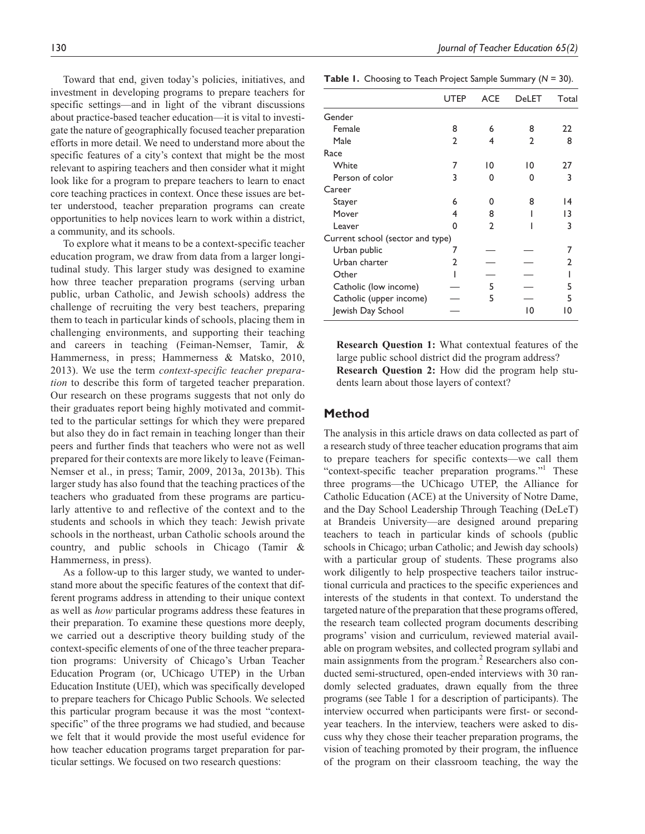Toward that end, given today's policies, initiatives, and investment in developing programs to prepare teachers for specific settings—and in light of the vibrant discussions about practice-based teacher education—it is vital to investigate the nature of geographically focused teacher preparation efforts in more detail. We need to understand more about the specific features of a city's context that might be the most relevant to aspiring teachers and then consider what it might look like for a program to prepare teachers to learn to enact core teaching practices in context. Once these issues are better understood, teacher preparation programs can create opportunities to help novices learn to work within a district, a community, and its schools.

To explore what it means to be a context-specific teacher education program, we draw from data from a larger longitudinal study. This larger study was designed to examine how three teacher preparation programs (serving urban public, urban Catholic, and Jewish schools) address the challenge of recruiting the very best teachers, preparing them to teach in particular kinds of schools, placing them in challenging environments, and supporting their teaching and careers in teaching (Feiman-Nemser, Tamir, & Hammerness, in press; Hammerness & Matsko, 2010, 2013). We use the term *context-specific teacher preparation* to describe this form of targeted teacher preparation. Our research on these programs suggests that not only do their graduates report being highly motivated and committed to the particular settings for which they were prepared but also they do in fact remain in teaching longer than their peers and further finds that teachers who were not as well prepared for their contexts are more likely to leave (Feiman-Nemser et al., in press; Tamir, 2009, 2013a, 2013b). This larger study has also found that the teaching practices of the teachers who graduated from these programs are particularly attentive to and reflective of the context and to the students and schools in which they teach: Jewish private schools in the northeast, urban Catholic schools around the country, and public schools in Chicago (Tamir & Hammerness, in press).

As a follow-up to this larger study, we wanted to understand more about the specific features of the context that different programs address in attending to their unique context as well as *how* particular programs address these features in their preparation. To examine these questions more deeply, we carried out a descriptive theory building study of the context-specific elements of one of the three teacher preparation programs: University of Chicago's Urban Teacher Education Program (or, UChicago UTEP) in the Urban Education Institute (UEI), which was specifically developed to prepare teachers for Chicago Public Schools. We selected this particular program because it was the most "contextspecific" of the three programs we had studied, and because we felt that it would provide the most useful evidence for how teacher education programs target preparation for particular settings. We focused on two research questions:

**Table 1.** Choosing to Teach Project Sample Summary (*N* = 30).

|                                  | UTEP           | <b>ACE</b>     | <b>DeLET</b> | Total |
|----------------------------------|----------------|----------------|--------------|-------|
| Gender                           |                |                |              |       |
| Female                           | 8              | 6              | 8            | 22    |
| Male                             | $\mathfrak{p}$ |                | 2            | 8     |
| Race                             |                |                |              |       |
| White                            |                | 10             | 10           | 27    |
| Person of color                  | 3              | n              | o            | 3     |
| Career                           |                |                |              |       |
| Stayer                           | 6              | n              | 8            | 14    |
| Mover                            | 4              | 8              |              | 13    |
| Leaver                           | o              | $\overline{2}$ |              | 3     |
| Current school (sector and type) |                |                |              |       |
| Urban public                     | 7              |                |              |       |
| Urban charter                    |                |                |              |       |
| Other                            |                |                |              |       |
| Catholic (low income)            |                | 5              |              | 5     |
| Catholic (upper income)          |                | 5              |              |       |
| Jewish Day School                |                |                | 10           | 10    |
|                                  |                |                |              |       |

**Research Question 1:** What contextual features of the large public school district did the program address? **Research Question 2:** How did the program help students learn about those layers of context?

#### **Method**

The analysis in this article draws on data collected as part of a research study of three teacher education programs that aim to prepare teachers for specific contexts—we call them "context-specific teacher preparation programs."<sup>1</sup> These three programs—the UChicago UTEP, the Alliance for Catholic Education (ACE) at the University of Notre Dame, and the Day School Leadership Through Teaching (DeLeT) at Brandeis University—are designed around preparing teachers to teach in particular kinds of schools (public schools in Chicago; urban Catholic; and Jewish day schools) with a particular group of students. These programs also work diligently to help prospective teachers tailor instructional curricula and practices to the specific experiences and interests of the students in that context. To understand the targeted nature of the preparation that these programs offered, the research team collected program documents describing programs' vision and curriculum, reviewed material available on program websites, and collected program syllabi and main assignments from the program.<sup>2</sup> Researchers also conducted semi-structured, open-ended interviews with 30 randomly selected graduates, drawn equally from the three programs (see Table 1 for a description of participants). The interview occurred when participants were first- or secondyear teachers. In the interview, teachers were asked to discuss why they chose their teacher preparation programs, the vision of teaching promoted by their program, the influence of the program on their classroom teaching, the way the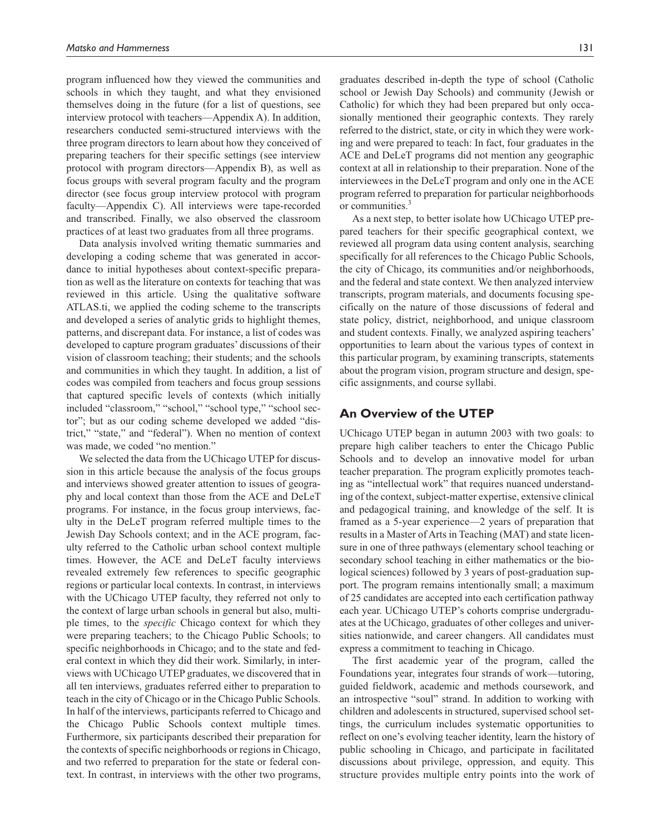program influenced how they viewed the communities and schools in which they taught, and what they envisioned themselves doing in the future (for a list of questions, see interview protocol with teachers—Appendix A). In addition, researchers conducted semi-structured interviews with the three program directors to learn about how they conceived of preparing teachers for their specific settings (see interview protocol with program directors—Appendix B), as well as focus groups with several program faculty and the program director (see focus group interview protocol with program faculty—Appendix C). All interviews were tape-recorded and transcribed. Finally, we also observed the classroom practices of at least two graduates from all three programs.

Data analysis involved writing thematic summaries and developing a coding scheme that was generated in accordance to initial hypotheses about context-specific preparation as well as the literature on contexts for teaching that was reviewed in this article. Using the qualitative software ATLAS.ti, we applied the coding scheme to the transcripts and developed a series of analytic grids to highlight themes, patterns, and discrepant data. For instance, a list of codes was developed to capture program graduates' discussions of their vision of classroom teaching; their students; and the schools and communities in which they taught. In addition, a list of codes was compiled from teachers and focus group sessions that captured specific levels of contexts (which initially included "classroom," "school," "school type," "school sector"; but as our coding scheme developed we added "district," "state," and "federal"). When no mention of context was made, we coded "no mention."

We selected the data from the UChicago UTEP for discussion in this article because the analysis of the focus groups and interviews showed greater attention to issues of geography and local context than those from the ACE and DeLeT programs. For instance, in the focus group interviews, faculty in the DeLeT program referred multiple times to the Jewish Day Schools context; and in the ACE program, faculty referred to the Catholic urban school context multiple times. However, the ACE and DeLeT faculty interviews revealed extremely few references to specific geographic regions or particular local contexts. In contrast, in interviews with the UChicago UTEP faculty, they referred not only to the context of large urban schools in general but also, multiple times, to the *specific* Chicago context for which they were preparing teachers; to the Chicago Public Schools; to specific neighborhoods in Chicago; and to the state and federal context in which they did their work. Similarly, in interviews with UChicago UTEP graduates, we discovered that in all ten interviews, graduates referred either to preparation to teach in the city of Chicago or in the Chicago Public Schools. In half of the interviews, participants referred to Chicago and the Chicago Public Schools context multiple times. Furthermore, six participants described their preparation for the contexts of specific neighborhoods or regions in Chicago, and two referred to preparation for the state or federal context. In contrast, in interviews with the other two programs,

graduates described in-depth the type of school (Catholic school or Jewish Day Schools) and community (Jewish or Catholic) for which they had been prepared but only occasionally mentioned their geographic contexts. They rarely referred to the district, state, or city in which they were working and were prepared to teach: In fact, four graduates in the ACE and DeLeT programs did not mention any geographic context at all in relationship to their preparation. None of the interviewees in the DeLeT program and only one in the ACE program referred to preparation for particular neighborhoods or communities.<sup>3</sup>

As a next step, to better isolate how UChicago UTEP prepared teachers for their specific geographical context, we reviewed all program data using content analysis, searching specifically for all references to the Chicago Public Schools, the city of Chicago, its communities and/or neighborhoods, and the federal and state context. We then analyzed interview transcripts, program materials, and documents focusing specifically on the nature of those discussions of federal and state policy, district, neighborhood, and unique classroom and student contexts. Finally, we analyzed aspiring teachers' opportunities to learn about the various types of context in this particular program, by examining transcripts, statements about the program vision, program structure and design, specific assignments, and course syllabi.

# **An Overview of the UTEP**

UChicago UTEP began in autumn 2003 with two goals: to prepare high caliber teachers to enter the Chicago Public Schools and to develop an innovative model for urban teacher preparation. The program explicitly promotes teaching as "intellectual work" that requires nuanced understanding of the context, subject-matter expertise, extensive clinical and pedagogical training, and knowledge of the self. It is framed as a 5-year experience—2 years of preparation that results in a Master of Arts in Teaching (MAT) and state licensure in one of three pathways (elementary school teaching or secondary school teaching in either mathematics or the biological sciences) followed by 3 years of post-graduation support. The program remains intentionally small; a maximum of 25 candidates are accepted into each certification pathway each year. UChicago UTEP's cohorts comprise undergraduates at the UChicago, graduates of other colleges and universities nationwide, and career changers. All candidates must express a commitment to teaching in Chicago.

The first academic year of the program, called the Foundations year, integrates four strands of work—tutoring, guided fieldwork, academic and methods coursework, and an introspective "soul" strand. In addition to working with children and adolescents in structured, supervised school settings, the curriculum includes systematic opportunities to reflect on one's evolving teacher identity, learn the history of public schooling in Chicago, and participate in facilitated discussions about privilege, oppression, and equity. This structure provides multiple entry points into the work of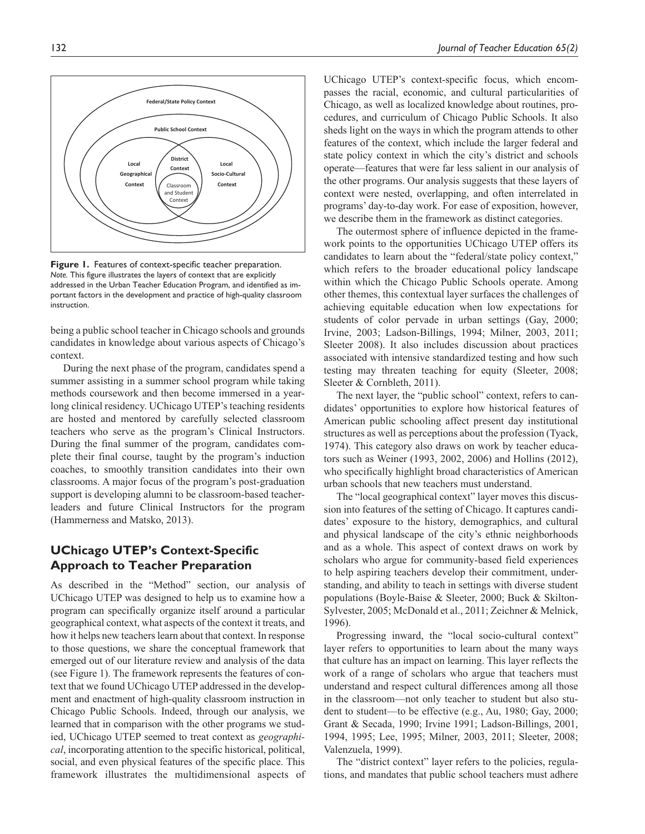**Figure 1.** Features of context-specific teacher preparation. *Note.* This figure illustrates the layers of context that are explicitly addressed in the Urban Teacher Education Program, and identified as important factors in the development and practice of high-quality classroom instruction.

being a public school teacher in Chicago schools and grounds candidates in knowledge about various aspects of Chicago's context.

During the next phase of the program, candidates spend a summer assisting in a summer school program while taking methods coursework and then become immersed in a yearlong clinical residency. UChicago UTEP's teaching residents are hosted and mentored by carefully selected classroom teachers who serve as the program's Clinical Instructors. During the final summer of the program, candidates complete their final course, taught by the program's induction coaches, to smoothly transition candidates into their own classrooms. A major focus of the program's post-graduation support is developing alumni to be classroom-based teacherleaders and future Clinical Instructors for the program (Hammerness and Matsko, 2013).

# **UChicago UTEP's Context-Specific Approach to Teacher Preparation**

As described in the "Method" section, our analysis of UChicago UTEP was designed to help us to examine how a program can specifically organize itself around a particular geographical context, what aspects of the context it treats, and how it helps new teachers learn about that context. In response to those questions, we share the conceptual framework that emerged out of our literature review and analysis of the data (see Figure 1). The framework represents the features of context that we found UChicago UTEP addressed in the development and enactment of high-quality classroom instruction in Chicago Public Schools. Indeed, through our analysis, we learned that in comparison with the other programs we studied, UChicago UTEP seemed to treat context as *geographical*, incorporating attention to the specific historical, political, social, and even physical features of the specific place. This framework illustrates the multidimensional aspects of

UChicago UTEP's context-specific focus, which encompasses the racial, economic, and cultural particularities of Chicago, as well as localized knowledge about routines, procedures, and curriculum of Chicago Public Schools. It also sheds light on the ways in which the program attends to other features of the context, which include the larger federal and state policy context in which the city's district and schools operate—features that were far less salient in our analysis of the other programs. Our analysis suggests that these layers of context were nested, overlapping, and often interrelated in programs' day-to-day work. For ease of exposition, however, we describe them in the framework as distinct categories.

The outermost sphere of influence depicted in the framework points to the opportunities UChicago UTEP offers its candidates to learn about the "federal/state policy context," which refers to the broader educational policy landscape within which the Chicago Public Schools operate. Among other themes, this contextual layer surfaces the challenges of achieving equitable education when low expectations for students of color pervade in urban settings (Gay, 2000; Irvine, 2003; Ladson-Billings, 1994; Milner, 2003, 2011; Sleeter 2008). It also includes discussion about practices associated with intensive standardized testing and how such testing may threaten teaching for equity (Sleeter, 2008; Sleeter & Cornbleth, 2011).

The next layer, the "public school" context, refers to candidates' opportunities to explore how historical features of American public schooling affect present day institutional structures as well as perceptions about the profession (Tyack, 1974). This category also draws on work by teacher educators such as Weiner (1993, 2002, 2006) and Hollins (2012), who specifically highlight broad characteristics of American urban schools that new teachers must understand.

The "local geographical context" layer moves this discussion into features of the setting of Chicago. It captures candidates' exposure to the history, demographics, and cultural and physical landscape of the city's ethnic neighborhoods and as a whole. This aspect of context draws on work by scholars who argue for community-based field experiences to help aspiring teachers develop their commitment, understanding, and ability to teach in settings with diverse student populations (Boyle-Baise & Sleeter, 2000; Buck & Skilton-Sylvester, 2005; McDonald et al., 2011; Zeichner & Melnick, 1996).

Progressing inward, the "local socio-cultural context" layer refers to opportunities to learn about the many ways that culture has an impact on learning. This layer reflects the work of a range of scholars who argue that teachers must understand and respect cultural differences among all those in the classroom—not only teacher to student but also student to student—to be effective (e.g., Au, 1980; Gay, 2000; Grant & Secada, 1990; Irvine 1991; Ladson-Billings, 2001, 1994, 1995; Lee, 1995; Milner, 2003, 2011; Sleeter, 2008; Valenzuela, 1999).

The "district context" layer refers to the policies, regulations, and mandates that public school teachers must adhere

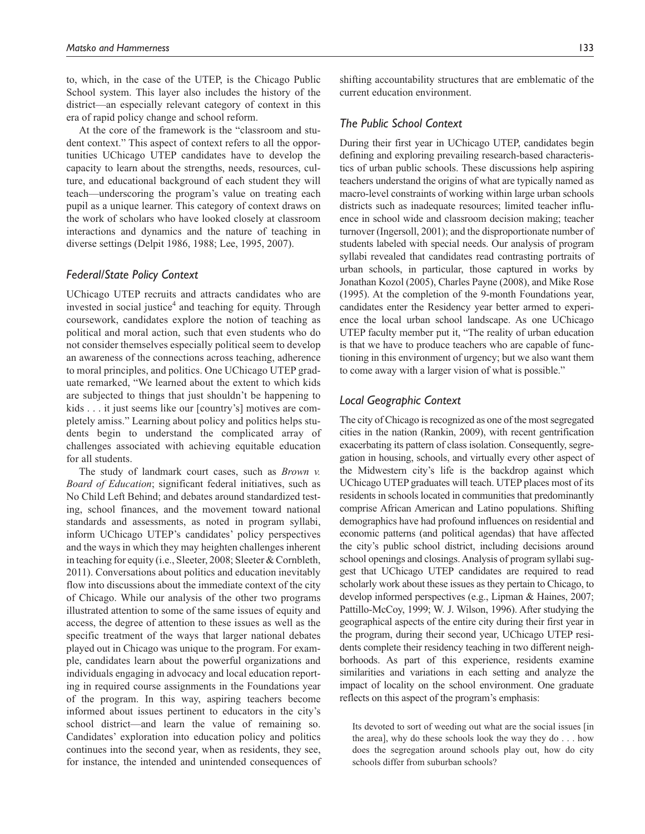to, which, in the case of the UTEP, is the Chicago Public School system. This layer also includes the history of the district—an especially relevant category of context in this era of rapid policy change and school reform.

At the core of the framework is the "classroom and student context." This aspect of context refers to all the opportunities UChicago UTEP candidates have to develop the capacity to learn about the strengths, needs, resources, culture, and educational background of each student they will teach—underscoring the program's value on treating each pupil as a unique learner. This category of context draws on the work of scholars who have looked closely at classroom interactions and dynamics and the nature of teaching in diverse settings (Delpit 1986, 1988; Lee, 1995, 2007).

### *Federal/State Policy Context*

UChicago UTEP recruits and attracts candidates who are invested in social justice<sup>4</sup> and teaching for equity. Through coursework, candidates explore the notion of teaching as political and moral action, such that even students who do not consider themselves especially political seem to develop an awareness of the connections across teaching, adherence to moral principles, and politics. One UChicago UTEP graduate remarked, "We learned about the extent to which kids are subjected to things that just shouldn't be happening to kids . . . it just seems like our [country's] motives are completely amiss." Learning about policy and politics helps students begin to understand the complicated array of challenges associated with achieving equitable education for all students.

The study of landmark court cases, such as *Brown v. Board of Education*; significant federal initiatives, such as No Child Left Behind; and debates around standardized testing, school finances, and the movement toward national standards and assessments, as noted in program syllabi, inform UChicago UTEP's candidates' policy perspectives and the ways in which they may heighten challenges inherent in teaching for equity (i.e., Sleeter, 2008; Sleeter & Cornbleth, 2011). Conversations about politics and education inevitably flow into discussions about the immediate context of the city of Chicago. While our analysis of the other two programs illustrated attention to some of the same issues of equity and access, the degree of attention to these issues as well as the specific treatment of the ways that larger national debates played out in Chicago was unique to the program. For example, candidates learn about the powerful organizations and individuals engaging in advocacy and local education reporting in required course assignments in the Foundations year of the program. In this way, aspiring teachers become informed about issues pertinent to educators in the city's school district—and learn the value of remaining so. Candidates' exploration into education policy and politics continues into the second year, when as residents, they see, for instance, the intended and unintended consequences of shifting accountability structures that are emblematic of the current education environment.

### *The Public School Context*

During their first year in UChicago UTEP, candidates begin defining and exploring prevailing research-based characteristics of urban public schools. These discussions help aspiring teachers understand the origins of what are typically named as macro-level constraints of working within large urban schools districts such as inadequate resources; limited teacher influence in school wide and classroom decision making; teacher turnover (Ingersoll, 2001); and the disproportionate number of students labeled with special needs. Our analysis of program syllabi revealed that candidates read contrasting portraits of urban schools, in particular, those captured in works by Jonathan Kozol (2005), Charles Payne (2008), and Mike Rose (1995). At the completion of the 9-month Foundations year, candidates enter the Residency year better armed to experience the local urban school landscape. As one UChicago UTEP faculty member put it, "The reality of urban education is that we have to produce teachers who are capable of functioning in this environment of urgency; but we also want them to come away with a larger vision of what is possible."

### *Local Geographic Context*

The city of Chicago is recognized as one of the most segregated cities in the nation (Rankin, 2009), with recent gentrification exacerbating its pattern of class isolation. Consequently, segregation in housing, schools, and virtually every other aspect of the Midwestern city's life is the backdrop against which UChicago UTEP graduates will teach. UTEP places most of its residents in schools located in communities that predominantly comprise African American and Latino populations. Shifting demographics have had profound influences on residential and economic patterns (and political agendas) that have affected the city's public school district, including decisions around school openings and closings. Analysis of program syllabi suggest that UChicago UTEP candidates are required to read scholarly work about these issues as they pertain to Chicago, to develop informed perspectives (e.g., Lipman & Haines, 2007; Pattillo-McCoy, 1999; W. J. Wilson, 1996). After studying the geographical aspects of the entire city during their first year in the program, during their second year, UChicago UTEP residents complete their residency teaching in two different neighborhoods. As part of this experience, residents examine similarities and variations in each setting and analyze the impact of locality on the school environment. One graduate reflects on this aspect of the program's emphasis:

Its devoted to sort of weeding out what are the social issues [in the area], why do these schools look the way they do . . . how does the segregation around schools play out, how do city schools differ from suburban schools?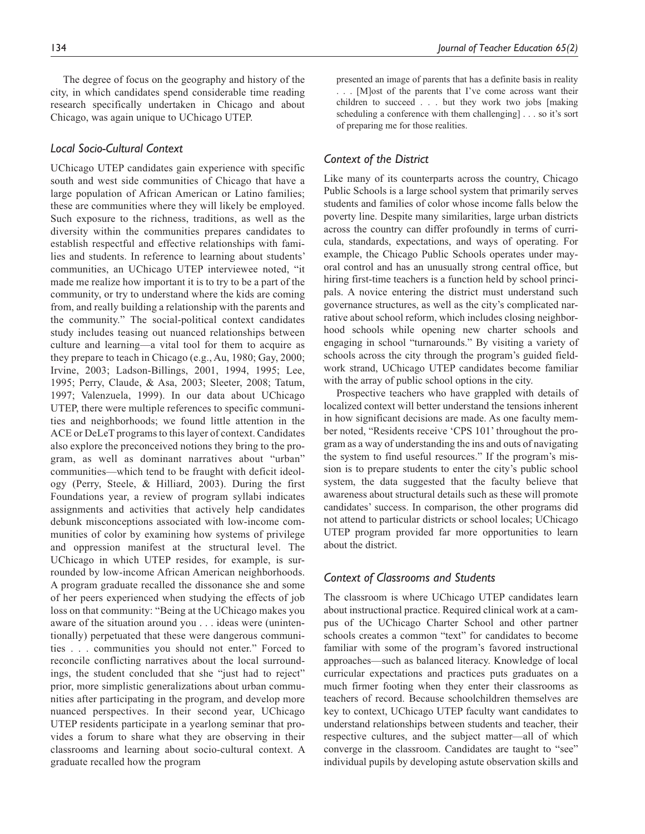The degree of focus on the geography and history of the city, in which candidates spend considerable time reading research specifically undertaken in Chicago and about Chicago, was again unique to UChicago UTEP.

#### *Local Socio-Cultural Context*

UChicago UTEP candidates gain experience with specific south and west side communities of Chicago that have a large population of African American or Latino families; these are communities where they will likely be employed. Such exposure to the richness, traditions, as well as the diversity within the communities prepares candidates to establish respectful and effective relationships with families and students. In reference to learning about students' communities, an UChicago UTEP interviewee noted, "it made me realize how important it is to try to be a part of the community, or try to understand where the kids are coming from, and really building a relationship with the parents and the community." The social-political context candidates study includes teasing out nuanced relationships between culture and learning—a vital tool for them to acquire as they prepare to teach in Chicago (e.g., Au, 1980; Gay, 2000; Irvine, 2003; Ladson-Billings, 2001, 1994, 1995; Lee, 1995; Perry, Claude, & Asa, 2003; Sleeter, 2008; Tatum, 1997; Valenzuela, 1999). In our data about UChicago UTEP, there were multiple references to specific communities and neighborhoods; we found little attention in the ACE or DeLeT programs to this layer of context. Candidates also explore the preconceived notions they bring to the program, as well as dominant narratives about "urban" communities—which tend to be fraught with deficit ideology (Perry, Steele, & Hilliard, 2003). During the first Foundations year, a review of program syllabi indicates assignments and activities that actively help candidates debunk misconceptions associated with low-income communities of color by examining how systems of privilege and oppression manifest at the structural level. The UChicago in which UTEP resides, for example, is surrounded by low-income African American neighborhoods. A program graduate recalled the dissonance she and some of her peers experienced when studying the effects of job loss on that community: "Being at the UChicago makes you aware of the situation around you . . . ideas were (unintentionally) perpetuated that these were dangerous communities . . . communities you should not enter." Forced to reconcile conflicting narratives about the local surroundings, the student concluded that she "just had to reject" prior, more simplistic generalizations about urban communities after participating in the program, and develop more nuanced perspectives. In their second year, UChicago UTEP residents participate in a yearlong seminar that provides a forum to share what they are observing in their classrooms and learning about socio-cultural context. A graduate recalled how the program

presented an image of parents that has a definite basis in reality . . . [M]ost of the parents that I've come across want their children to succeed . . . but they work two jobs [making scheduling a conference with them challenging] . . . so it's sort of preparing me for those realities.

# *Context of the District*

Like many of its counterparts across the country, Chicago Public Schools is a large school system that primarily serves students and families of color whose income falls below the poverty line. Despite many similarities, large urban districts across the country can differ profoundly in terms of curricula, standards, expectations, and ways of operating. For example, the Chicago Public Schools operates under mayoral control and has an unusually strong central office, but hiring first-time teachers is a function held by school principals. A novice entering the district must understand such governance structures, as well as the city's complicated narrative about school reform, which includes closing neighborhood schools while opening new charter schools and engaging in school "turnarounds." By visiting a variety of schools across the city through the program's guided fieldwork strand, UChicago UTEP candidates become familiar with the array of public school options in the city.

Prospective teachers who have grappled with details of localized context will better understand the tensions inherent in how significant decisions are made. As one faculty member noted, "Residents receive 'CPS 101' throughout the program as a way of understanding the ins and outs of navigating the system to find useful resources." If the program's mission is to prepare students to enter the city's public school system, the data suggested that the faculty believe that awareness about structural details such as these will promote candidates' success. In comparison, the other programs did not attend to particular districts or school locales; UChicago UTEP program provided far more opportunities to learn about the district.

# *Context of Classrooms and Students*

The classroom is where UChicago UTEP candidates learn about instructional practice. Required clinical work at a campus of the UChicago Charter School and other partner schools creates a common "text" for candidates to become familiar with some of the program's favored instructional approaches—such as balanced literacy. Knowledge of local curricular expectations and practices puts graduates on a much firmer footing when they enter their classrooms as teachers of record. Because schoolchildren themselves are key to context, UChicago UTEP faculty want candidates to understand relationships between students and teacher, their respective cultures, and the subject matter—all of which converge in the classroom. Candidates are taught to "see" individual pupils by developing astute observation skills and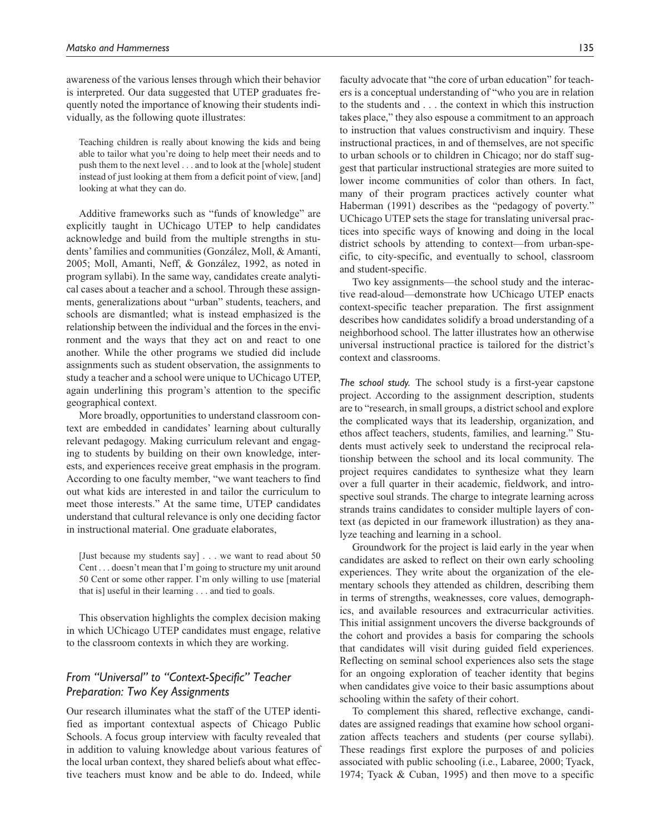awareness of the various lenses through which their behavior is interpreted. Our data suggested that UTEP graduates frequently noted the importance of knowing their students individually, as the following quote illustrates:

Teaching children is really about knowing the kids and being able to tailor what you're doing to help meet their needs and to push them to the next level . . . and to look at the [whole] student instead of just looking at them from a deficit point of view, [and] looking at what they can do.

Additive frameworks such as "funds of knowledge" are explicitly taught in UChicago UTEP to help candidates acknowledge and build from the multiple strengths in students' families and communities (González, Moll, & Amanti, 2005; Moll, Amanti, Neff, & González, 1992, as noted in program syllabi). In the same way, candidates create analytical cases about a teacher and a school. Through these assignments, generalizations about "urban" students, teachers, and schools are dismantled; what is instead emphasized is the relationship between the individual and the forces in the environment and the ways that they act on and react to one another. While the other programs we studied did include assignments such as student observation, the assignments to study a teacher and a school were unique to UChicago UTEP, again underlining this program's attention to the specific geographical context.

More broadly, opportunities to understand classroom context are embedded in candidates' learning about culturally relevant pedagogy. Making curriculum relevant and engaging to students by building on their own knowledge, interests, and experiences receive great emphasis in the program. According to one faculty member, "we want teachers to find out what kids are interested in and tailor the curriculum to meet those interests." At the same time, UTEP candidates understand that cultural relevance is only one deciding factor in instructional material. One graduate elaborates,

[Just because my students say] . . . we want to read about 50 Cent . . . doesn't mean that I'm going to structure my unit around 50 Cent or some other rapper. I'm only willing to use [material that is] useful in their learning . . . and tied to goals.

This observation highlights the complex decision making in which UChicago UTEP candidates must engage, relative to the classroom contexts in which they are working.

# *From "Universal" to "Context-Specific" Teacher Preparation: Two Key Assignments*

Our research illuminates what the staff of the UTEP identified as important contextual aspects of Chicago Public Schools. A focus group interview with faculty revealed that in addition to valuing knowledge about various features of the local urban context, they shared beliefs about what effective teachers must know and be able to do. Indeed, while

faculty advocate that "the core of urban education" for teachers is a conceptual understanding of "who you are in relation to the students and . . . the context in which this instruction takes place," they also espouse a commitment to an approach to instruction that values constructivism and inquiry. These instructional practices, in and of themselves, are not specific to urban schools or to children in Chicago; nor do staff suggest that particular instructional strategies are more suited to lower income communities of color than others. In fact, many of their program practices actively counter what Haberman (1991) describes as the "pedagogy of poverty." UChicago UTEP sets the stage for translating universal practices into specific ways of knowing and doing in the local district schools by attending to context—from urban-specific, to city-specific, and eventually to school, classroom and student-specific.

Two key assignments—the school study and the interactive read-aloud—demonstrate how UChicago UTEP enacts context-specific teacher preparation. The first assignment describes how candidates solidify a broad understanding of a neighborhood school. The latter illustrates how an otherwise universal instructional practice is tailored for the district's context and classrooms.

*The school study.* The school study is a first-year capstone project. According to the assignment description, students are to "research, in small groups, a district school and explore the complicated ways that its leadership, organization, and ethos affect teachers, students, families, and learning." Students must actively seek to understand the reciprocal relationship between the school and its local community. The project requires candidates to synthesize what they learn over a full quarter in their academic, fieldwork, and introspective soul strands. The charge to integrate learning across strands trains candidates to consider multiple layers of context (as depicted in our framework illustration) as they analyze teaching and learning in a school.

Groundwork for the project is laid early in the year when candidates are asked to reflect on their own early schooling experiences. They write about the organization of the elementary schools they attended as children, describing them in terms of strengths, weaknesses, core values, demographics, and available resources and extracurricular activities. This initial assignment uncovers the diverse backgrounds of the cohort and provides a basis for comparing the schools that candidates will visit during guided field experiences. Reflecting on seminal school experiences also sets the stage for an ongoing exploration of teacher identity that begins when candidates give voice to their basic assumptions about schooling within the safety of their cohort.

To complement this shared, reflective exchange, candidates are assigned readings that examine how school organization affects teachers and students (per course syllabi). These readings first explore the purposes of and policies associated with public schooling (i.e., Labaree, 2000; Tyack, 1974; Tyack & Cuban, 1995) and then move to a specific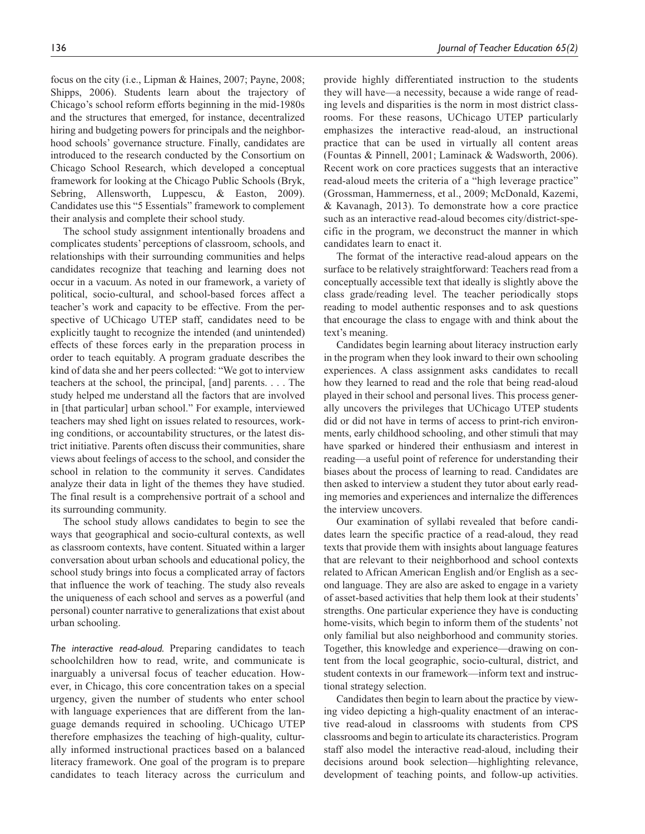focus on the city (i.e., Lipman & Haines, 2007; Payne, 2008; Shipps, 2006). Students learn about the trajectory of Chicago's school reform efforts beginning in the mid-1980s and the structures that emerged, for instance, decentralized hiring and budgeting powers for principals and the neighborhood schools' governance structure. Finally, candidates are introduced to the research conducted by the Consortium on Chicago School Research, which developed a conceptual framework for looking at the Chicago Public Schools (Bryk, Sebring, Allensworth, Luppescu, & Easton, 2009). Candidates use this "5 Essentials" framework to complement their analysis and complete their school study.

The school study assignment intentionally broadens and complicates students' perceptions of classroom, schools, and relationships with their surrounding communities and helps candidates recognize that teaching and learning does not occur in a vacuum. As noted in our framework, a variety of political, socio-cultural, and school-based forces affect a teacher's work and capacity to be effective. From the perspective of UChicago UTEP staff, candidates need to be explicitly taught to recognize the intended (and unintended) effects of these forces early in the preparation process in order to teach equitably. A program graduate describes the kind of data she and her peers collected: "We got to interview teachers at the school, the principal, [and] parents. . . . The study helped me understand all the factors that are involved in [that particular] urban school." For example, interviewed teachers may shed light on issues related to resources, working conditions, or accountability structures, or the latest district initiative. Parents often discuss their communities, share views about feelings of access to the school, and consider the school in relation to the community it serves. Candidates analyze their data in light of the themes they have studied. The final result is a comprehensive portrait of a school and its surrounding community.

The school study allows candidates to begin to see the ways that geographical and socio-cultural contexts, as well as classroom contexts, have content. Situated within a larger conversation about urban schools and educational policy, the school study brings into focus a complicated array of factors that influence the work of teaching. The study also reveals the uniqueness of each school and serves as a powerful (and personal) counter narrative to generalizations that exist about urban schooling.

*The interactive read-aloud.* Preparing candidates to teach schoolchildren how to read, write, and communicate is inarguably a universal focus of teacher education. However, in Chicago, this core concentration takes on a special urgency, given the number of students who enter school with language experiences that are different from the language demands required in schooling. UChicago UTEP therefore emphasizes the teaching of high-quality, culturally informed instructional practices based on a balanced literacy framework. One goal of the program is to prepare candidates to teach literacy across the curriculum and

provide highly differentiated instruction to the students they will have—a necessity, because a wide range of reading levels and disparities is the norm in most district classrooms. For these reasons, UChicago UTEP particularly emphasizes the interactive read-aloud, an instructional practice that can be used in virtually all content areas (Fountas & Pinnell, 2001; Laminack & Wadsworth, 2006). Recent work on core practices suggests that an interactive read-aloud meets the criteria of a "high leverage practice" (Grossman, Hammerness, et al., 2009; McDonald, Kazemi, & Kavanagh, 2013). To demonstrate how a core practice such as an interactive read-aloud becomes city/district-specific in the program, we deconstruct the manner in which candidates learn to enact it.

The format of the interactive read-aloud appears on the surface to be relatively straightforward: Teachers read from a conceptually accessible text that ideally is slightly above the class grade/reading level. The teacher periodically stops reading to model authentic responses and to ask questions that encourage the class to engage with and think about the text's meaning.

Candidates begin learning about literacy instruction early in the program when they look inward to their own schooling experiences. A class assignment asks candidates to recall how they learned to read and the role that being read-aloud played in their school and personal lives. This process generally uncovers the privileges that UChicago UTEP students did or did not have in terms of access to print-rich environments, early childhood schooling, and other stimuli that may have sparked or hindered their enthusiasm and interest in reading—a useful point of reference for understanding their biases about the process of learning to read. Candidates are then asked to interview a student they tutor about early reading memories and experiences and internalize the differences the interview uncovers.

Our examination of syllabi revealed that before candidates learn the specific practice of a read-aloud, they read texts that provide them with insights about language features that are relevant to their neighborhood and school contexts related to African American English and/or English as a second language. They are also are asked to engage in a variety of asset-based activities that help them look at their students' strengths. One particular experience they have is conducting home-visits, which begin to inform them of the students' not only familial but also neighborhood and community stories. Together, this knowledge and experience—drawing on content from the local geographic, socio-cultural, district, and student contexts in our framework—inform text and instructional strategy selection.

Candidates then begin to learn about the practice by viewing video depicting a high-quality enactment of an interactive read-aloud in classrooms with students from CPS classrooms and begin to articulate its characteristics. Program staff also model the interactive read-aloud, including their decisions around book selection—highlighting relevance, development of teaching points, and follow-up activities.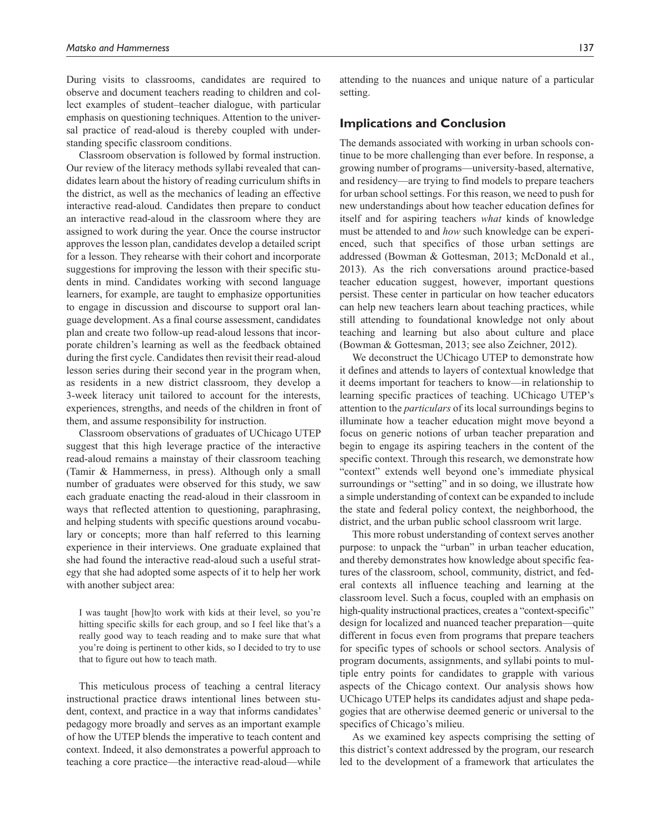During visits to classrooms, candidates are required to observe and document teachers reading to children and collect examples of student–teacher dialogue, with particular emphasis on questioning techniques. Attention to the universal practice of read-aloud is thereby coupled with understanding specific classroom conditions.

Classroom observation is followed by formal instruction. Our review of the literacy methods syllabi revealed that candidates learn about the history of reading curriculum shifts in the district, as well as the mechanics of leading an effective interactive read-aloud. Candidates then prepare to conduct an interactive read-aloud in the classroom where they are assigned to work during the year. Once the course instructor approves the lesson plan, candidates develop a detailed script for a lesson. They rehearse with their cohort and incorporate suggestions for improving the lesson with their specific students in mind. Candidates working with second language learners, for example, are taught to emphasize opportunities to engage in discussion and discourse to support oral language development. As a final course assessment, candidates plan and create two follow-up read-aloud lessons that incorporate children's learning as well as the feedback obtained during the first cycle. Candidates then revisit their read-aloud lesson series during their second year in the program when, as residents in a new district classroom, they develop a 3-week literacy unit tailored to account for the interests, experiences, strengths, and needs of the children in front of them, and assume responsibility for instruction.

Classroom observations of graduates of UChicago UTEP suggest that this high leverage practice of the interactive read-aloud remains a mainstay of their classroom teaching (Tamir & Hammerness, in press). Although only a small number of graduates were observed for this study, we saw each graduate enacting the read-aloud in their classroom in ways that reflected attention to questioning, paraphrasing, and helping students with specific questions around vocabulary or concepts; more than half referred to this learning experience in their interviews. One graduate explained that she had found the interactive read-aloud such a useful strategy that she had adopted some aspects of it to help her work with another subject area:

I was taught [how]to work with kids at their level, so you're hitting specific skills for each group, and so I feel like that's a really good way to teach reading and to make sure that what you're doing is pertinent to other kids, so I decided to try to use that to figure out how to teach math.

This meticulous process of teaching a central literacy instructional practice draws intentional lines between student, context, and practice in a way that informs candidates' pedagogy more broadly and serves as an important example of how the UTEP blends the imperative to teach content and context. Indeed, it also demonstrates a powerful approach to teaching a core practice—the interactive read-aloud—while attending to the nuances and unique nature of a particular setting.

### **Implications and Conclusion**

The demands associated with working in urban schools continue to be more challenging than ever before. In response, a growing number of programs—university-based, alternative, and residency—are trying to find models to prepare teachers for urban school settings. For this reason, we need to push for new understandings about how teacher education defines for itself and for aspiring teachers *what* kinds of knowledge must be attended to and *how* such knowledge can be experienced, such that specifics of those urban settings are addressed (Bowman & Gottesman, 2013; McDonald et al., 2013). As the rich conversations around practice-based teacher education suggest, however, important questions persist. These center in particular on how teacher educators can help new teachers learn about teaching practices, while still attending to foundational knowledge not only about teaching and learning but also about culture and place (Bowman & Gottesman, 2013; see also Zeichner, 2012).

We deconstruct the UChicago UTEP to demonstrate how it defines and attends to layers of contextual knowledge that it deems important for teachers to know—in relationship to learning specific practices of teaching. UChicago UTEP's attention to the *particulars* of its local surroundings begins to illuminate how a teacher education might move beyond a focus on generic notions of urban teacher preparation and begin to engage its aspiring teachers in the content of the specific context. Through this research, we demonstrate how "context" extends well beyond one's immediate physical surroundings or "setting" and in so doing, we illustrate how a simple understanding of context can be expanded to include the state and federal policy context, the neighborhood, the district, and the urban public school classroom writ large.

This more robust understanding of context serves another purpose: to unpack the "urban" in urban teacher education, and thereby demonstrates how knowledge about specific features of the classroom, school, community, district, and federal contexts all influence teaching and learning at the classroom level. Such a focus, coupled with an emphasis on high-quality instructional practices, creates a "context-specific" design for localized and nuanced teacher preparation—quite different in focus even from programs that prepare teachers for specific types of schools or school sectors. Analysis of program documents, assignments, and syllabi points to multiple entry points for candidates to grapple with various aspects of the Chicago context. Our analysis shows how UChicago UTEP helps its candidates adjust and shape pedagogies that are otherwise deemed generic or universal to the specifics of Chicago's milieu.

As we examined key aspects comprising the setting of this district's context addressed by the program, our research led to the development of a framework that articulates the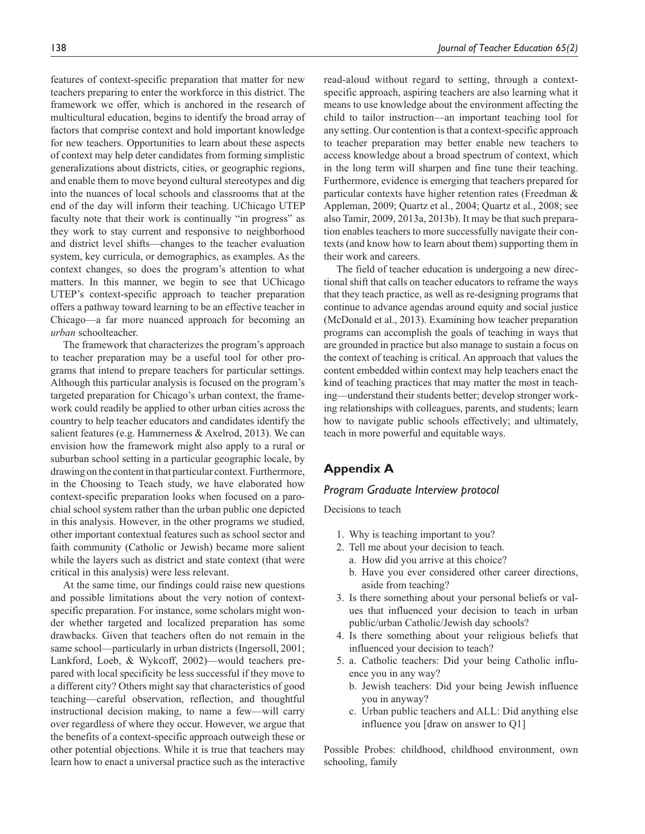features of context-specific preparation that matter for new teachers preparing to enter the workforce in this district. The framework we offer, which is anchored in the research of multicultural education, begins to identify the broad array of factors that comprise context and hold important knowledge for new teachers. Opportunities to learn about these aspects of context may help deter candidates from forming simplistic generalizations about districts, cities, or geographic regions, and enable them to move beyond cultural stereotypes and dig into the nuances of local schools and classrooms that at the end of the day will inform their teaching. UChicago UTEP faculty note that their work is continually "in progress" as they work to stay current and responsive to neighborhood and district level shifts—changes to the teacher evaluation system, key curricula, or demographics, as examples. As the context changes, so does the program's attention to what matters. In this manner, we begin to see that UChicago UTEP's context-specific approach to teacher preparation offers a pathway toward learning to be an effective teacher in Chicago—a far more nuanced approach for becoming an *urban* schoolteacher.

The framework that characterizes the program's approach to teacher preparation may be a useful tool for other programs that intend to prepare teachers for particular settings. Although this particular analysis is focused on the program's targeted preparation for Chicago's urban context, the framework could readily be applied to other urban cities across the country to help teacher educators and candidates identify the salient features (e.g. Hammerness & Axelrod, 2013). We can envision how the framework might also apply to a rural or suburban school setting in a particular geographic locale, by drawing on the content in that particular context. Furthermore, in the Choosing to Teach study, we have elaborated how context-specific preparation looks when focused on a parochial school system rather than the urban public one depicted in this analysis. However, in the other programs we studied, other important contextual features such as school sector and faith community (Catholic or Jewish) became more salient while the layers such as district and state context (that were critical in this analysis) were less relevant.

At the same time, our findings could raise new questions and possible limitations about the very notion of contextspecific preparation. For instance, some scholars might wonder whether targeted and localized preparation has some drawbacks. Given that teachers often do not remain in the same school—particularly in urban districts (Ingersoll, 2001; Lankford, Loeb, & Wykcoff, 2002)—would teachers prepared with local specificity be less successful if they move to a different city? Others might say that characteristics of good teaching—careful observation, reflection, and thoughtful instructional decision making, to name a few—will carry over regardless of where they occur. However, we argue that the benefits of a context-specific approach outweigh these or other potential objections. While it is true that teachers may learn how to enact a universal practice such as the interactive

read-aloud without regard to setting, through a contextspecific approach, aspiring teachers are also learning what it means to use knowledge about the environment affecting the child to tailor instruction—an important teaching tool for any setting. Our contention is that a context-specific approach to teacher preparation may better enable new teachers to access knowledge about a broad spectrum of context, which in the long term will sharpen and fine tune their teaching. Furthermore, evidence is emerging that teachers prepared for particular contexts have higher retention rates (Freedman & Appleman, 2009; Quartz et al., 2004; Quartz et al., 2008; see also Tamir, 2009, 2013a, 2013b). It may be that such preparation enables teachers to more successfully navigate their contexts (and know how to learn about them) supporting them in their work and careers.

The field of teacher education is undergoing a new directional shift that calls on teacher educators to reframe the ways that they teach practice, as well as re-designing programs that continue to advance agendas around equity and social justice (McDonald et al., 2013). Examining how teacher preparation programs can accomplish the goals of teaching in ways that are grounded in practice but also manage to sustain a focus on the context of teaching is critical. An approach that values the content embedded within context may help teachers enact the kind of teaching practices that may matter the most in teaching—understand their students better; develop stronger working relationships with colleagues, parents, and students; learn how to navigate public schools effectively; and ultimately, teach in more powerful and equitable ways.

# **Appendix A**

# *Program Graduate Interview protocol*

Decisions to teach

- 1. Why is teaching important to you?
- 2. Tell me about your decision to teach.
	- a. How did you arrive at this choice?
	- b. Have you ever considered other career directions, aside from teaching?
- 3. Is there something about your personal beliefs or values that influenced your decision to teach in urban public/urban Catholic/Jewish day schools?
- 4. Is there something about your religious beliefs that influenced your decision to teach?
- 5. a. Catholic teachers: Did your being Catholic influence you in any way?
	- b. Jewish teachers: Did your being Jewish influence you in anyway?
	- c. Urban public teachers and ALL: Did anything else influence you [draw on answer to Q1]

Possible Probes: childhood, childhood environment, own schooling, family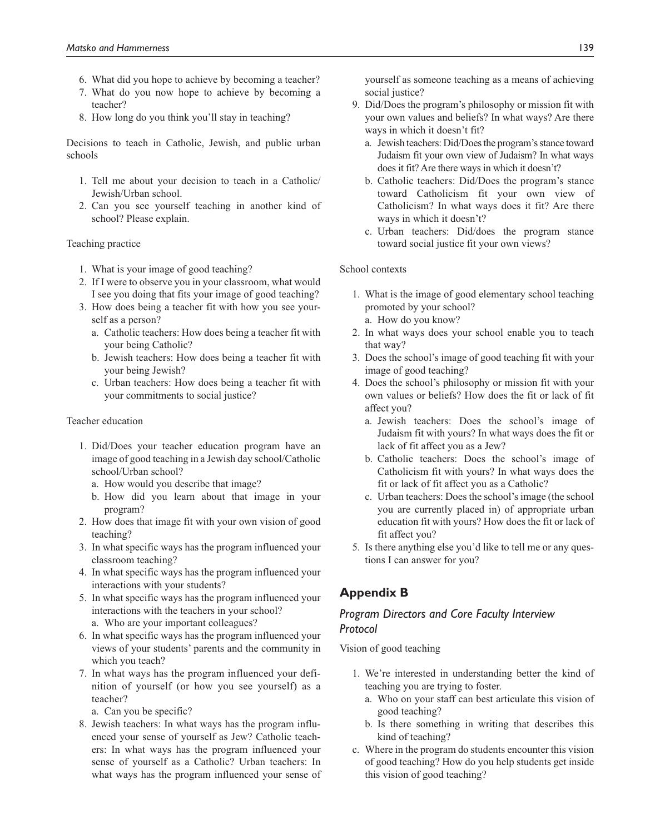- 6. What did you hope to achieve by becoming a teacher?
- 7. What do you now hope to achieve by becoming a teacher?
- 8. How long do you think you'll stay in teaching?

Decisions to teach in Catholic, Jewish, and public urban schools

- 1. Tell me about your decision to teach in a Catholic/ Jewish/Urban school.
- 2. Can you see yourself teaching in another kind of school? Please explain.

#### Teaching practice

- 1. What is your image of good teaching?
- 2. If I were to observe you in your classroom, what would I see you doing that fits your image of good teaching?
- 3. How does being a teacher fit with how you see yourself as a person?
	- a. Catholic teachers: How does being a teacher fit with your being Catholic?
	- b. Jewish teachers: How does being a teacher fit with your being Jewish?
	- c. Urban teachers: How does being a teacher fit with your commitments to social justice?

#### Teacher education

- 1. Did/Does your teacher education program have an image of good teaching in a Jewish day school/Catholic school/Urban school?
	- a. How would you describe that image?
	- b. How did you learn about that image in your program?
- 2. How does that image fit with your own vision of good teaching?
- 3. In what specific ways has the program influenced your classroom teaching?
- 4. In what specific ways has the program influenced your interactions with your students?
- 5. In what specific ways has the program influenced your interactions with the teachers in your school? a. Who are your important colleagues?
- 6. In what specific ways has the program influenced your views of your students' parents and the community in which you teach?
- 7. In what ways has the program influenced your definition of yourself (or how you see yourself) as a teacher?
	- a. Can you be specific?
- 8. Jewish teachers: In what ways has the program influenced your sense of yourself as Jew? Catholic teachers: In what ways has the program influenced your sense of yourself as a Catholic? Urban teachers: In what ways has the program influenced your sense of

yourself as someone teaching as a means of achieving social justice?

- 9. Did/Does the program's philosophy or mission fit with your own values and beliefs? In what ways? Are there ways in which it doesn't fit?
	- a. Jewish teachers: Did/Does the program's stance toward Judaism fit your own view of Judaism? In what ways does it fit? Are there ways in which it doesn't?
	- b. Catholic teachers: Did/Does the program's stance toward Catholicism fit your own view of Catholicism? In what ways does it fit? Are there ways in which it doesn't?
	- c. Urban teachers: Did/does the program stance toward social justice fit your own views?

#### School contexts

- 1. What is the image of good elementary school teaching promoted by your school?
	- a. How do you know?
- 2. In what ways does your school enable you to teach that way?
- 3. Does the school's image of good teaching fit with your image of good teaching?
- 4. Does the school's philosophy or mission fit with your own values or beliefs? How does the fit or lack of fit affect you?
	- a. Jewish teachers: Does the school's image of Judaism fit with yours? In what ways does the fit or lack of fit affect you as a Jew?
	- b. Catholic teachers: Does the school's image of Catholicism fit with yours? In what ways does the fit or lack of fit affect you as a Catholic?
	- c. Urban teachers: Does the school's image (the school you are currently placed in) of appropriate urban education fit with yours? How does the fit or lack of fit affect you?
- 5. Is there anything else you'd like to tell me or any questions I can answer for you?

# **Appendix B**

# *Program Directors and Core Faculty Interview Protocol*

Vision of good teaching

- 1. We're interested in understanding better the kind of teaching you are trying to foster.
	- a. Who on your staff can best articulate this vision of good teaching?
	- b. Is there something in writing that describes this kind of teaching?
- c. Where in the program do students encounter this vision of good teaching? How do you help students get inside this vision of good teaching?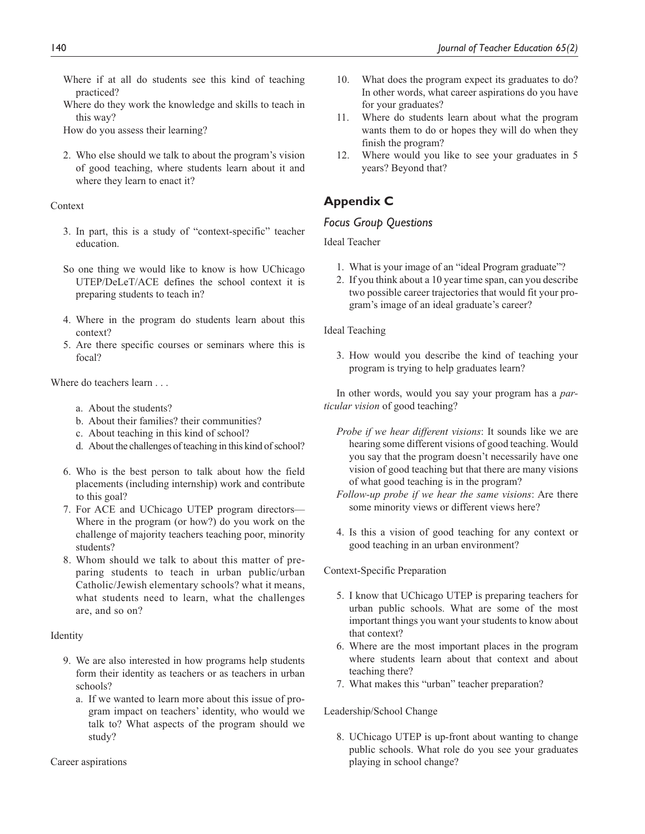- Where if at all do students see this kind of teaching practiced?
- Where do they work the knowledge and skills to teach in this way?

How do you assess their learning?

2. Who else should we talk to about the program's vision of good teaching, where students learn about it and where they learn to enact it?

#### Context

- 3. In part, this is a study of "context-specific" teacher education.
- So one thing we would like to know is how UChicago UTEP/DeLeT/ACE defines the school context it is preparing students to teach in?
- 4. Where in the program do students learn about this context?
- 5. Are there specific courses or seminars where this is focal?

Where do teachers learn . . .

- a. About the students?
- b. About their families? their communities?
- c. About teaching in this kind of school?
- d. About the challenges of teaching in this kind of school?
- 6. Who is the best person to talk about how the field placements (including internship) work and contribute to this goal?
- 7. For ACE and UChicago UTEP program directors— Where in the program (or how?) do you work on the challenge of majority teachers teaching poor, minority students?
- 8. Whom should we talk to about this matter of preparing students to teach in urban public/urban Catholic/Jewish elementary schools? what it means, what students need to learn, what the challenges are, and so on?

#### Identity

- 9. We are also interested in how programs help students form their identity as teachers or as teachers in urban schools?
	- a. If we wanted to learn more about this issue of program impact on teachers' identity, who would we talk to? What aspects of the program should we study?

Career aspirations

- 10. What does the program expect its graduates to do? In other words, what career aspirations do you have for your graduates?
- 11. Where do students learn about what the program wants them to do or hopes they will do when they finish the program?
- 12. Where would you like to see your graduates in 5 years? Beyond that?

# **Appendix C**

# *Focus Group Questions*

Ideal Teacher

- 1. What is your image of an "ideal Program graduate"?
- 2. If you think about a 10 year time span, can you describe two possible career trajectories that would fit your program's image of an ideal graduate's career?

### Ideal Teaching

3. How would you describe the kind of teaching your program is trying to help graduates learn?

In other words, would you say your program has a *particular vision* of good teaching?

- *Probe if we hear different visions*: It sounds like we are hearing some different visions of good teaching. Would you say that the program doesn't necessarily have one vision of good teaching but that there are many visions of what good teaching is in the program?
- *Follow-up probe if we hear the same visions*: Are there some minority views or different views here?
- 4. Is this a vision of good teaching for any context or good teaching in an urban environment?

Context-Specific Preparation

- 5. I know that UChicago UTEP is preparing teachers for urban public schools. What are some of the most important things you want your students to know about that context?
- 6. Where are the most important places in the program where students learn about that context and about teaching there?
- 7. What makes this "urban" teacher preparation?

#### Leadership/School Change

8. UChicago UTEP is up-front about wanting to change public schools. What role do you see your graduates playing in school change?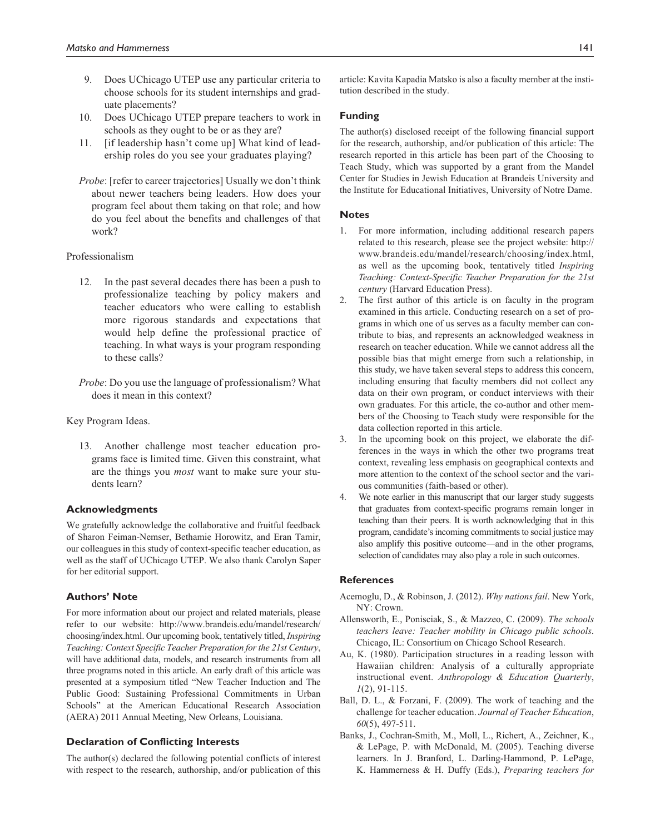- 9. Does UChicago UTEP use any particular criteria to choose schools for its student internships and graduate placements?
- 10. Does UChicago UTEP prepare teachers to work in schools as they ought to be or as they are?
- 11. [if leadership hasn't come up] What kind of leadership roles do you see your graduates playing?
- *Probe*: [refer to career trajectories] Usually we don't think about newer teachers being leaders. How does your program feel about them taking on that role; and how do you feel about the benefits and challenges of that work?

#### Professionalism

- 12. In the past several decades there has been a push to professionalize teaching by policy makers and teacher educators who were calling to establish more rigorous standards and expectations that would help define the professional practice of teaching. In what ways is your program responding to these calls?
- *Probe*: Do you use the language of professionalism? What does it mean in this context?

#### Key Program Ideas.

13. Another challenge most teacher education programs face is limited time. Given this constraint, what are the things you *most* want to make sure your students learn?

#### **Acknowledgments**

We gratefully acknowledge the collaborative and fruitful feedback of Sharon Feiman-Nemser, Bethamie Horowitz, and Eran Tamir, our colleagues in this study of context-specific teacher education, as well as the staff of UChicago UTEP. We also thank Carolyn Saper for her editorial support.

#### **Authors' Note**

For more information about our project and related materials, please [refer to our website: http://www.brandeis.edu/mandel/research/](http://www.brandeis.edu/mandel/research/choosing/index.html) choosing/index.html. Our upcoming book, tentatively titled, *Inspiring Teaching: Context Specific Teacher Preparation for the 21st Century*, will have additional data, models, and research instruments from all three programs noted in this article. An early draft of this article was presented at a symposium titled "New Teacher Induction and The Public Good: Sustaining Professional Commitments in Urban Schools" at the American Educational Research Association (AERA) 2011 Annual Meeting, New Orleans, Louisiana.

#### **Declaration of Conflicting Interests**

The author(s) declared the following potential conflicts of interest with respect to the research, authorship, and/or publication of this article: Kavita Kapadia Matsko is also a faculty member at the institution described in the study.

#### **Funding**

The author(s) disclosed receipt of the following financial support for the research, authorship, and/or publication of this article: The research reported in this article has been part of the Choosing to Teach Study, which was supported by a grant from the Mandel Center for Studies in Jewish Education at Brandeis University and the Institute for Educational Initiatives, University of Notre Dame.

#### **Notes**

- 1. For more information, including additional research papers related to this research, please see the project website: http:// www.brandeis.edu/mandel/research/choosing/index.html, as well as the upcoming book, tentatively titled *Inspiring Teaching: Context-Specific Teacher Preparation for the 21st century* (Harvard Education Press).
- 2. The first author of this article is on faculty in the program examined in this article. Conducting research on a set of programs in which one of us serves as a faculty member can contribute to bias, and represents an acknowledged weakness in research on teacher education. While we cannot address all the possible bias that might emerge from such a relationship, in this study, we have taken several steps to address this concern, including ensuring that faculty members did not collect any data on their own program, or conduct interviews with their own graduates. For this article, the co-author and other members of the Choosing to Teach study were responsible for the data collection reported in this article.
- 3. In the upcoming book on this project, we elaborate the differences in the ways in which the other two programs treat context, revealing less emphasis on geographical contexts and more attention to the context of the school sector and the various communities (faith-based or other).
- 4. We note earlier in this manuscript that our larger study suggests that graduates from context-specific programs remain longer in teaching than their peers. It is worth acknowledging that in this program, candidate's incoming commitments to social justice may also amplify this positive outcome—and in the other programs, selection of candidates may also play a role in such outcomes.

#### **References**

- Acemoglu, D., & Robinson, J. (2012). *Why nations fail*. New York, NY: Crown.
- Allensworth, E., Ponisciak, S., & Mazzeo, C. (2009). *The schools teachers leave: Teacher mobility in Chicago public schools*. Chicago, IL: Consortium on Chicago School Research.
- Au, K. (1980). Participation structures in a reading lesson with Hawaiian children: Analysis of a culturally appropriate instructional event. *Anthropology & Education Quarterly*, *1*(2), 91-115.
- Ball, D. L., & Forzani, F. (2009). The work of teaching and the challenge for teacher education. *Journal of Teacher Education*, *60*(5), 497-511.
- Banks, J., Cochran-Smith, M., Moll, L., Richert, A., Zeichner, K., & LePage, P. with McDonald, M. (2005). Teaching diverse learners. In J. Branford, L. Darling-Hammond, P. LePage, K. Hammerness & H. Duffy (Eds.), *Preparing teachers for*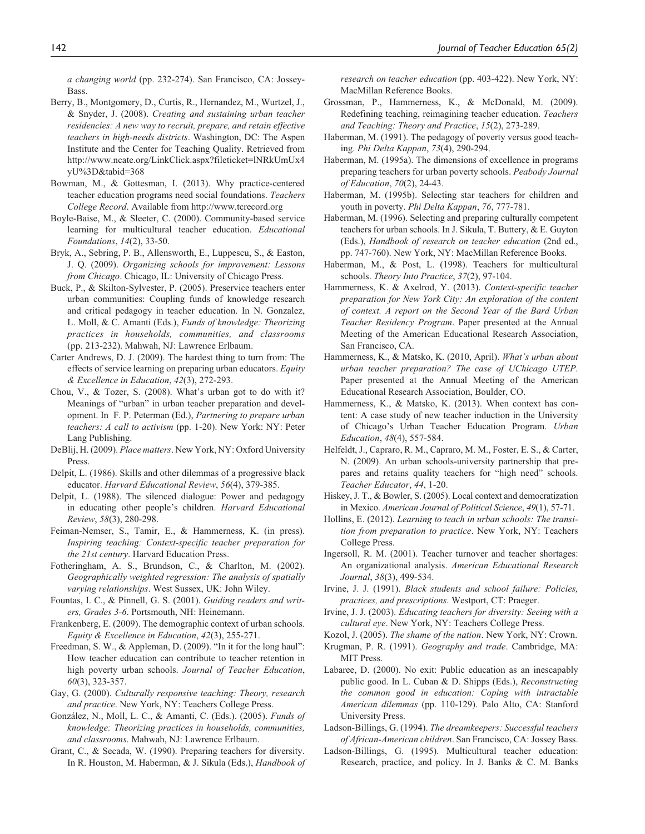*a changing world* (pp. 232-274). San Francisco, CA: Jossey-Bass.

- Berry, B., Montgomery, D., Curtis, R., Hernandez, M., Wurtzel, J., & Snyder, J. (2008). *Creating and sustaining urban teacher residencies: A new way to recruit, prepare, and retain effective teachers in high-needs districts*. Washington, DC: The Aspen Institute and the Center for Teaching Quality. Retrieved from [http://www.ncate.org/LinkClick.aspx?fileticket=lNRkUmUx4](http://www.ncate.org/LinkClick.aspx?fileticket=lNRkUmUx4yU%3D&tabid=368) yU%3D&tabid=368
- Bowman, M., & Gottesman, I. (2013). Why practice-centered teacher education programs need social foundations. *Teachers College Record*. Available from http://www.tcrecord.org
- Boyle-Baise, M., & Sleeter, C. (2000). Community-based service learning for multicultural teacher education. *Educational Foundations*, *14*(2), 33-50.
- Bryk, A., Sebring, P. B., Allensworth, E., Luppescu, S., & Easton, J. Q. (2009). *Organizing schools for improvement: Lessons from Chicago*. Chicago, IL: University of Chicago Press.
- Buck, P., & Skilton-Sylvester, P. (2005). Preservice teachers enter urban communities: Coupling funds of knowledge research and critical pedagogy in teacher education. In N. Gonzalez, L. Moll, & C. Amanti (Eds.), *Funds of knowledge: Theorizing practices in households, communities, and classrooms* (pp. 213-232). Mahwah, NJ: Lawrence Erlbaum.
- Carter Andrews, D. J. (2009). The hardest thing to turn from: The effects of service learning on preparing urban educators. *Equity & Excellence in Education*, *42*(3), 272-293.
- Chou, V., & Tozer, S. (2008). What's urban got to do with it? Meanings of "urban" in urban teacher preparation and development. In F. P. Peterman (Ed.), *Partnering to prepare urban teachers: A call to activism* (pp. 1-20). New York: NY: Peter Lang Publishing.
- DeBlij, H. (2009). *Place matters*. New York, NY: Oxford University Press.
- Delpit, L. (1986). Skills and other dilemmas of a progressive black educator. *Harvard Educational Review*, *56*(4), 379-385.
- Delpit, L. (1988). The silenced dialogue: Power and pedagogy in educating other people's children. *Harvard Educational Review*, *58*(3), 280-298.
- Feiman-Nemser, S., Tamir, E., & Hammerness, K. (in press). *Inspiring teaching: Context-specific teacher preparation for the 21st century*. Harvard Education Press.
- Fotheringham, A. S., Brundson, C., & Charlton, M. (2002). *Geographically weighted regression: The analysis of spatially varying relationships*. West Sussex, UK: John Wiley.
- Fountas, I. C., & Pinnell, G. S. (2001). *Guiding readers and writers, Grades 3-6*. Portsmouth, NH: Heinemann.
- Frankenberg, E. (2009). The demographic context of urban schools. *Equity & Excellence in Education*, *42*(3), 255-271.
- Freedman, S. W., & Appleman, D. (2009). "In it for the long haul": How teacher education can contribute to teacher retention in high poverty urban schools. *Journal of Teacher Education*, *60*(3), 323-357.
- Gay, G. (2000). *Culturally responsive teaching: Theory, research and practice*. New York, NY: Teachers College Press.
- González, N., Moll, L. C., & Amanti, C. (Eds.). (2005). *Funds of knowledge: Theorizing practices in households, communities, and classrooms*. Mahwah, NJ: Lawrence Erlbaum.
- Grant, C., & Secada, W. (1990). Preparing teachers for diversity. In R. Houston, M. Haberman, & J. Sikula (Eds.), *Handbook of*

*research on teacher education* (pp. 403-422). New York, NY: MacMillan Reference Books.

- Grossman, P., Hammerness, K., & McDonald, M. (2009). Redefining teaching, reimagining teacher education. *Teachers and Teaching: Theory and Practice*, *15*(2), 273-289.
- Haberman, M. (1991). The pedagogy of poverty versus good teaching. *Phi Delta Kappan*, *73*(4), 290-294.
- Haberman, M. (1995a). The dimensions of excellence in programs preparing teachers for urban poverty schools. *Peabody Journal of Education*, *70*(2), 24-43.
- Haberman, M. (1995b). Selecting star teachers for children and youth in poverty. *Phi Delta Kappan*, *76*, 777-781.
- Haberman, M. (1996). Selecting and preparing culturally competent teachers for urban schools. In J. Sikula, T. Buttery, & E. Guyton (Eds.), *Handbook of research on teacher education* (2nd ed., pp. 747-760). New York, NY: MacMillan Reference Books.
- Haberman, M., & Post, L. (1998). Teachers for multicultural schools. *Theory Into Practice*, *37*(2), 97-104.
- Hammerness, K. & Axelrod, Y. (2013). *Context-specific teacher preparation for New York City: An exploration of the content of context. A report on the Second Year of the Bard Urban Teacher Residency Program*. Paper presented at the Annual Meeting of the American Educational Research Association, San Francisco, CA.
- Hammerness, K., & Matsko, K. (2010, April). *What's urban about urban teacher preparation? The case of UChicago UTEP*. Paper presented at the Annual Meeting of the American Educational Research Association, Boulder, CO.
- Hammerness, K., & Matsko, K. (2013). When context has content: A case study of new teacher induction in the University of Chicago's Urban Teacher Education Program. *Urban Education*, *48*(4), 557-584.
- Helfeldt, J., Capraro, R. M., Capraro, M. M., Foster, E. S., & Carter, N. (2009). An urban schools-university partnership that prepares and retains quality teachers for "high need" schools. *Teacher Educator*, *44*, 1-20.
- Hiskey, J. T., & Bowler, S. (2005). Local context and democratization in Mexico. *American Journal of Political Science*, *49*(1), 57-71.
- Hollins, E. (2012). *Learning to teach in urban schools: The transition from preparation to practice*. New York, NY: Teachers College Press.
- Ingersoll, R. M. (2001). Teacher turnover and teacher shortages: An organizational analysis. *American Educational Research Journal*, *38*(3), 499-534.
- Irvine, J. J. (1991). *Black students and school failure: Policies, practices, and prescriptions*. Westport, CT: Praeger.
- Irvine, J. J. (2003). *Educating teachers for diversity: Seeing with a cultural eye*. New York, NY: Teachers College Press.
- Kozol, J. (2005). *The shame of the nation*. New York, NY: Crown.
- Krugman, P. R. (1991). *Geography and trade*. Cambridge, MA: MIT Press.
- Labaree, D. (2000). No exit: Public education as an inescapably public good. In L. Cuban & D. Shipps (Eds.), *Reconstructing the common good in education: Coping with intractable American dilemmas* (pp. 110-129). Palo Alto, CA: Stanford University Press.
- Ladson-Billings, G. (1994). *The dreamkeepers: Successful teachers of African-American children*. San Francisco, CA: Jossey Bass.
- Ladson-Billings, G. (1995). Multicultural teacher education: Research, practice, and policy. In J. Banks & C. M. Banks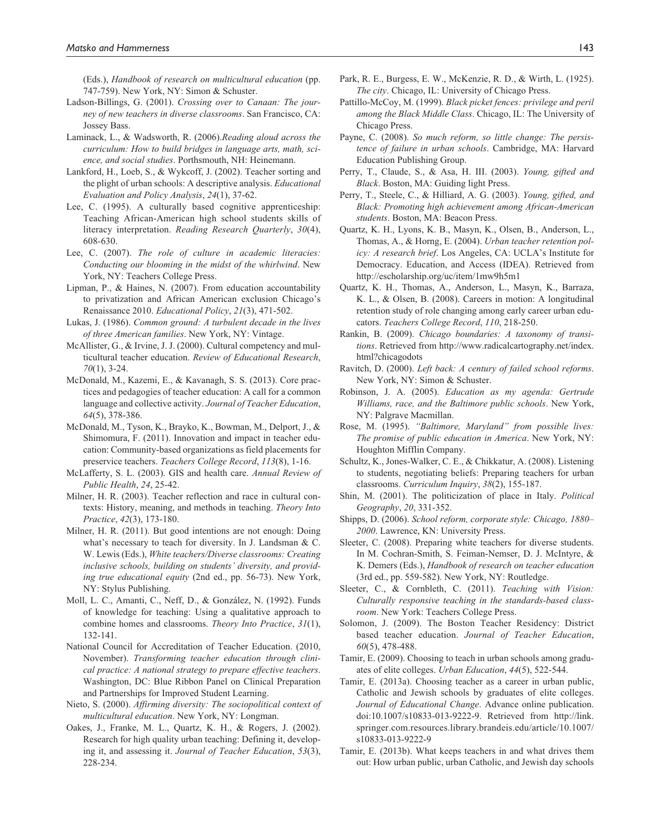(Eds.), *Handbook of research on multicultural education* (pp. 747-759). New York, NY: Simon & Schuster.

- Ladson-Billings, G. (2001). *Crossing over to Canaan: The journey of new teachers in diverse classrooms*. San Francisco, CA: Jossey Bass.
- Laminack, L., & Wadsworth, R. (2006).*Reading aloud across the curriculum: How to build bridges in language arts, math, science, and social studies*. Porthsmouth, NH: Heinemann.
- Lankford, H., Loeb, S., & Wykcoff, J. (2002). Teacher sorting and the plight of urban schools: A descriptive analysis. *Educational Evaluation and Policy Analysis*, *24*(1), 37-62.
- Lee, C. (1995). A culturally based cognitive apprenticeship: Teaching African-American high school students skills of literacy interpretation. *Reading Research Quarterly*, *30*(4), 608-630.
- Lee, C. (2007). *The role of culture in academic literacies: Conducting our blooming in the midst of the whirlwind*. New York, NY: Teachers College Press.
- Lipman, P., & Haines, N. (2007). From education accountability to privatization and African American exclusion Chicago's Renaissance 2010. *Educational Policy*, *21*(3), 471-502.
- Lukas, J. (1986). *Common ground: A turbulent decade in the lives of three American families*. New York, NY: Vintage.
- McAllister, G., & Irvine, J. J. (2000). Cultural competency and multicultural teacher education. *Review of Educational Research*, *70*(1), 3-24.
- McDonald, M., Kazemi, E., & Kavanagh, S. S. (2013). Core practices and pedagogies of teacher education: A call for a common language and collective activity. *Journal of Teacher Education*, *64*(5), 378-386.
- McDonald, M., Tyson, K., Brayko, K., Bowman, M., Delport, J., & Shimomura, F. (2011). Innovation and impact in teacher education: Community-based organizations as field placements for preservice teachers. *Teachers College Record*, *113*(8), 1-16.
- McLafferty, S. L. (2003). GIS and health care. *Annual Review of Public Health*, *24*, 25-42.
- Milner, H. R. (2003). Teacher reflection and race in cultural contexts: History, meaning, and methods in teaching. *Theory Into Practice*, *42*(3), 173-180.
- Milner, H. R. (2011). But good intentions are not enough: Doing what's necessary to teach for diversity. In J. Landsman & C. W. Lewis (Eds.), *White teachers/Diverse classrooms: Creating inclusive schools, building on students' diversity, and providing true educational equity* (2nd ed., pp. 56-73). New York, NY: Stylus Publishing.
- Moll, L. C., Amanti, C., Neff, D., & González, N. (1992). Funds of knowledge for teaching: Using a qualitative approach to combine homes and classrooms. *Theory Into Practice*, *31*(1), 132-141.
- National Council for Accreditation of Teacher Education. (2010, November). *Transforming teacher education through clinical practice: A national strategy to prepare effective teachers*. Washington, DC: Blue Ribbon Panel on Clinical Preparation and Partnerships for Improved Student Learning.
- Nieto, S. (2000). *Affirming diversity: The sociopolitical context of multicultural education*. New York, NY: Longman.
- Oakes, J., Franke, M. L., Quartz, K. H., & Rogers, J. (2002). Research for high quality urban teaching: Defining it, developing it, and assessing it. *Journal of Teacher Education*, *53*(3), 228-234.
- Park, R. E., Burgess, E. W., McKenzie, R. D., & Wirth, L. (1925). *The city*. Chicago, IL: University of Chicago Press.
- Pattillo-McCoy, M. (1999). *Black picket fences: privilege and peril among the Black Middle Class*. Chicago, IL: The University of Chicago Press.
- Payne, C. (2008). *So much reform, so little change: The persistence of failure in urban schools*. Cambridge, MA: Harvard Education Publishing Group.
- Perry, T., Claude, S., & Asa, H. III. (2003). *Young, gifted and Black*. Boston, MA: Guiding light Press.
- Perry, T., Steele, C., & Hilliard, A. G. (2003). *Young, gifted, and Black: Promoting high achievement among African-American students*. Boston, MA: Beacon Press.
- Quartz, K. H., Lyons, K. B., Masyn, K., Olsen, B., Anderson, L., Thomas, A., & Horng, E. (2004). *Urban teacher retention policy: A research brief*. Los Angeles, CA: UCLA's Institute for Democracy. Education, and Access (IDEA). Retrieved from http://escholarship.org/uc/item/1mw9h5m1
- Quartz, K. H., Thomas, A., Anderson, L., Masyn, K., Barraza, K. L., & Olsen, B. (2008). Careers in motion: A longitudinal retention study of role changing among early career urban educators. *Teachers College Record*, *110*, 218-250.
- Rankin, B. (2009). *Chicago boundaries: A taxonomy of transitions*[. Retrieved from http://www.radicalcartography.net/index.](http://www.radicalcartography.net/index.html?chicagodots) html?chicagodots
- Ravitch, D. (2000). *Left back: A century of failed school reforms*. New York, NY: Simon & Schuster.
- Robinson, J. A. (2005). *Education as my agenda: Gertrude Williams, race, and the Baltimore public schools*. New York, NY: Palgrave Macmillan.
- Rose, M. (1995). *"Baltimore, Maryland" from possible lives: The promise of public education in America*. New York, NY: Houghton Mifflin Company.
- Schultz, K., Jones-Walker, C. E., & Chikkatur, A. (2008). Listening to students, negotiating beliefs: Preparing teachers for urban classrooms. *Curriculum Inquiry*, *38*(2), 155-187.
- Shin, M. (2001). The politicization of place in Italy. *Political Geography*, *20*, 331-352.
- Shipps, D. (2006). *School reform, corporate style: Chicago, 1880– 2000*. Lawrence, KN: University Press.
- Sleeter, C. (2008). Preparing white teachers for diverse students. In M. Cochran-Smith, S. Feiman-Nemser, D. J. McIntyre, & K. Demers (Eds.), *Handbook of research on teacher education* (3rd ed., pp. 559-582). New York, NY: Routledge.
- Sleeter, C., & Cornbleth, C. (2011). *Teaching with Vision: Culturally responsive teaching in the standards-based classroom*. New York: Teachers College Press.
- Solomon, J. (2009). The Boston Teacher Residency: District based teacher education. *Journal of Teacher Education*, *60*(5), 478-488.
- Tamir, E. (2009). Choosing to teach in urban schools among graduates of elite colleges. *Urban Education*, *44*(5), 522-544.
- Tamir, E. (2013a). Choosing teacher as a career in urban public, Catholic and Jewish schools by graduates of elite colleges. *Journal of Educational Change*. Advance online publication. [doi:10.1007/s10833-013-9222-9. Retrieved from http://link.](http://link.springer.com.resources.library.brandeis.edu/article/10.1007/s10833-013-9222-9) springer.com.resources.library.brandeis.edu/article/10.1007/ s10833-013-9222-9
- Tamir, E. (2013b). What keeps teachers in and what drives them out: How urban public, urban Catholic, and Jewish day schools